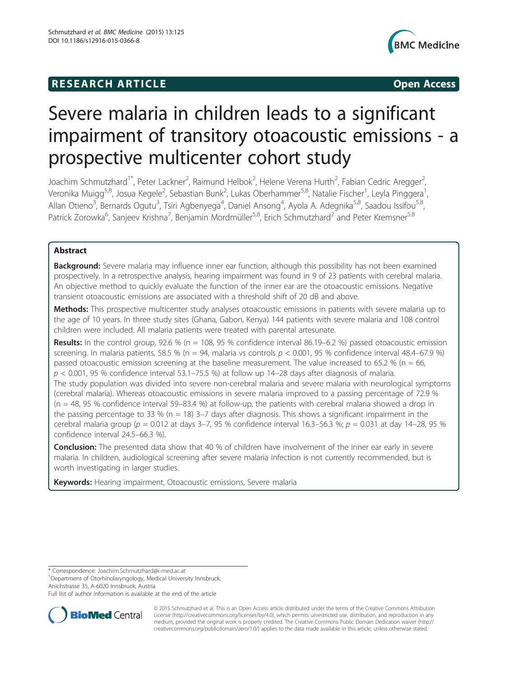# **RESEARCH ARTICLE Example 2014 12:30 The SEAR CHA RESEARCH ARTICLE**



# Severe malaria in children leads to a significant impairment of transitory otoacoustic emissions - a prospective multicenter cohort study

Joachim Schmutzhard<sup>1\*</sup>, Peter Lackner<sup>2</sup>, Raimund Helbok<sup>2</sup>, Helene Verena Hurth<sup>2</sup>, Fabian Cedric Aregger<sup>2</sup> .<br>, Veronika Muigg<sup>5,8</sup>, Josua Kegele<sup>2</sup>, Sebastian Bunk<sup>2</sup>, Lukas Oberhammer<sup>5,8</sup>, Natalie Fischer<sup>1</sup>, Leyla Pinggera<sup>1</sup> , Allan Otieno<sup>3</sup>, Bernards Ogutu<sup>3</sup>, Tsiri Agbenyega<sup>4</sup>, Daniel Ansong<sup>4</sup>, Ayola A. Adegnika<sup>5,8</sup>, Saadou Issifou<sup>5,8</sup>, Patrick Zorowka<sup>6</sup>, Sanjeev Krishna<sup>7</sup>, Benjamin Mordmüller<sup>5,8</sup>, Erich Schmutzhard<sup>2</sup> and Peter Kremsner<sup>5,8</sup>

# Abstract

Background: Severe malaria may influence inner ear function, although this possibility has not been examined prospectively. In a retrospective analysis, hearing impairment was found in 9 of 23 patients with cerebral malaria. An objective method to quickly evaluate the function of the inner ear are the otoacoustic emissions. Negative transient otoacoustic emissions are associated with a threshold shift of 20 dB and above.

Methods: This prospective multicenter study analyses otoacoustic emissions in patients with severe malaria up to the age of 10 years. In three study sites (Ghana, Gabon, Kenya) 144 patients with severe malaria and 108 control children were included. All malaria patients were treated with parental artesunate.

**Results:** In the control group, 92.6 % (n = 108, 95 % confidence interval 86.19–6.2 %) passed otoacoustic emission screening. In malaria patients, 58.5 % (n = 94, malaria vs controls  $p < 0.001$ , 95 % confidence interval 48.4–67.9 %) passed otoacoustic emission screening at the baseline measurement. The value increased to 65.2 % (n = 66,  $p < 0.001$ , 95 % confidence interval 53.1–75.5 %) at follow up 14–28 days after diagnosis of malaria. The study population was divided into severe non-cerebral malaria and severe malaria with neurological symptoms (cerebral malaria). Whereas otoacoustic emissions in severe malaria improved to a passing percentage of 72.9 %  $(n = 48, 95, 96)$  confidence interval 59–83.4 %) at follow-up, the patients with cerebral malaria showed a drop in the passing percentage to 33 % ( $n = 18$ ) 3–7 days after diagnosis. This shows a significant impairment in the cerebral malaria group ( $p = 0.012$  at days 3–7, 95 % confidence interval 16.3–56.3 %;  $p = 0.031$  at day 14–28, 95 % confidence interval 24.5–66.3 %).

Conclusion: The presented data show that 40 % of children have involvement of the inner ear early in severe malaria. In children, audiological screening after severe malaria infection is not currently recommended, but is worth investigating in larger studies.

Keywords: Hearing impairment, Otoacoustic emissions, Severe malaria

\* Correspondence: [Joachim.Schmutzhard@i-med.ac.at](mailto:Joachim.Schmutzhard@i-med.ac.at) <sup>1</sup>

<sup>1</sup>Department of Otorhinolaryngology, Medical University Innsbruck, Anichstrasse 35, A-6020 Innsbruck, Austria

Full list of author information is available at the end of the article



© 2015 Schmutzhard et al. This is an Open Access article distributed under the terms of the Creative Commons Attribution License (<http://creativecommons.org/licenses/by/4.0>), which permits unrestricted use, distribution, and reproduction in any medium, provided the original work is properly credited. The Creative Commons Public Domain Dedication waiver [\(http://](http://creativecommons.org/publicdomain/zero/1.0/) [creativecommons.org/publicdomain/zero/1.0/\)](http://creativecommons.org/publicdomain/zero/1.0/) applies to the data made available in this article, unless otherwise stated.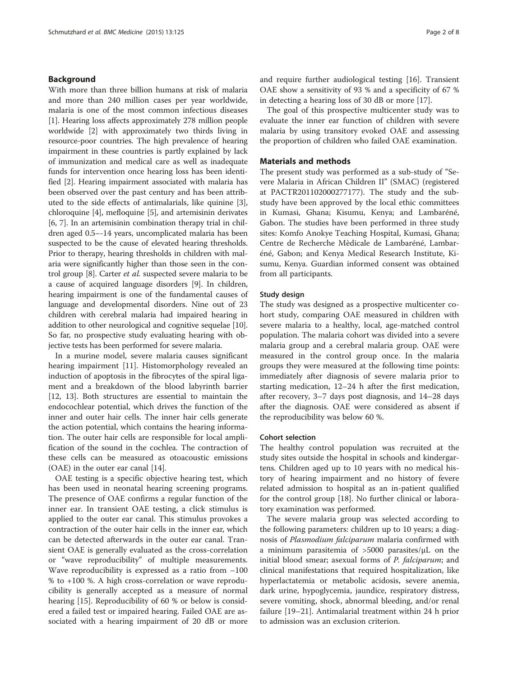# Background

With more than three billion humans at risk of malaria and more than 240 million cases per year worldwide, malaria is one of the most common infectious diseases [[1\]](#page-6-0). Hearing loss affects approximately 278 million people worldwide [\[2\]](#page-6-0) with approximately two thirds living in resource-poor countries. The high prevalence of hearing impairment in these countries is partly explained by lack of immunization and medical care as well as inadequate funds for intervention once hearing loss has been identified [\[2](#page-6-0)]. Hearing impairment associated with malaria has been observed over the past century and has been attributed to the side effects of antimalarials, like quinine [[3](#page-6-0)], chloroquine [\[4\]](#page-6-0), mefloquine [[5\]](#page-6-0), and artemisinin derivates [[6, 7\]](#page-6-0). In an artemisinin combination therapy trial in children aged 0.5–-14 years, uncomplicated malaria has been suspected to be the cause of elevated hearing thresholds. Prior to therapy, hearing thresholds in children with malaria were significantly higher than those seen in the control group [\[8](#page-6-0)]. Carter et al. suspected severe malaria to be a cause of acquired language disorders [[9\]](#page-6-0). In children, hearing impairment is one of the fundamental causes of language and developmental disorders. Nine out of 23 children with cerebral malaria had impaired hearing in addition to other neurological and cognitive sequelae [[10](#page-6-0)]. So far, no prospective study evaluating hearing with objective tests has been performed for severe malaria.

In a murine model, severe malaria causes significant hearing impairment [[11\]](#page-6-0). Histomorphology revealed an induction of apoptosis in the fibrocytes of the spiral ligament and a breakdown of the blood labyrinth barrier [[12, 13\]](#page-6-0). Both structures are essential to maintain the endocochlear potential, which drives the function of the inner and outer hair cells. The inner hair cells generate the action potential, which contains the hearing information. The outer hair cells are responsible for local amplification of the sound in the cochlea. The contraction of these cells can be measured as otoacoustic emissions (OAE) in the outer ear canal [\[14\]](#page-6-0).

OAE testing is a specific objective hearing test, which has been used in neonatal hearing screening programs. The presence of OAE confirms a regular function of the inner ear. In transient OAE testing, a click stimulus is applied to the outer ear canal. This stimulus provokes a contraction of the outer hair cells in the inner ear, which can be detected afterwards in the outer ear canal. Transient OAE is generally evaluated as the cross-correlation or "wave reproducibility" of multiple measurements. Wave reproducibility is expressed as a ratio from  $-100$ % to +100 %. A high cross-correlation or wave reproducibility is generally accepted as a measure of normal hearing [[15](#page-6-0)]. Reproducibility of 60 % or below is considered a failed test or impaired hearing. Failed OAE are associated with a hearing impairment of 20 dB or more and require further audiological testing [[16](#page-6-0)]. Transient OAE show a sensitivity of 93 % and a specificity of 67 % in detecting a hearing loss of 30 dB or more [[17\]](#page-6-0).

The goal of this prospective multicenter study was to evaluate the inner ear function of children with severe malaria by using transitory evoked OAE and assessing the proportion of children who failed OAE examination.

# Materials and methods

The present study was performed as a sub-study of "Severe Malaria in African Children II" (SMAC) (registered at PACTR201102000277177). The study and the substudy have been approved by the local ethic committees in Kumasi, Ghana; Kisumu, Kenya; and Lambaréné, Gabon. The studies have been performed in three study sites: Komfo Anokye Teaching Hospital, Kumasi, Ghana; Centre de Recherche Mèdicale de Lambaréné, Lambaréné, Gabon; and Kenya Medical Research Institute, Kisumu, Kenya. Guardian informed consent was obtained from all participants.

# Study design

The study was designed as a prospective multicenter cohort study, comparing OAE measured in children with severe malaria to a healthy, local, age-matched control population. The malaria cohort was divided into a severe malaria group and a cerebral malaria group. OAE were measured in the control group once. In the malaria groups they were measured at the following time points: immediately after diagnosis of severe malaria prior to starting medication, 12–24 h after the first medication, after recovery, 3–7 days post diagnosis, and 14–28 days after the diagnosis. OAE were considered as absent if the reproducibility was below 60 %.

# Cohort selection

The healthy control population was recruited at the study sites outside the hospital in schools and kindergartens. Children aged up to 10 years with no medical history of hearing impairment and no history of fevere related admission to hospital as an in-patient qualified for the control group [\[18](#page-6-0)]. No further clinical or laboratory examination was performed.

The severe malaria group was selected according to the following parameters: children up to 10 years; a diagnosis of Plasmodium falciparum malaria confirmed with a minimum parasitemia of >5000 parasites/μL on the initial blood smear; asexual forms of *P. falciparum*; and clinical manifestations that required hospitalization, like hyperlactatemia or metabolic acidosis, severe anemia, dark urine, hypoglycemia, jaundice, respiratory distress, severe vomiting, shock, abnormal bleeding, and/or renal failure [[19](#page-6-0)–[21](#page-6-0)]. Antimalarial treatment within 24 h prior to admission was an exclusion criterion.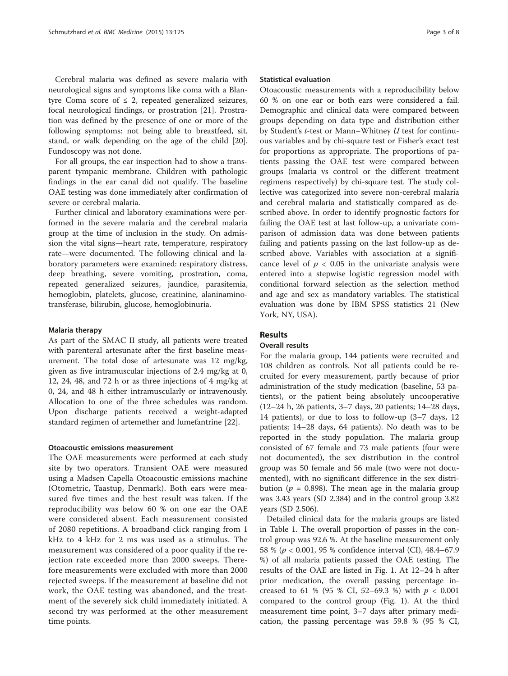Cerebral malaria was defined as severe malaria with neurological signs and symptoms like coma with a Blantyre Coma score of  $\leq$  2, repeated generalized seizures, focal neurological findings, or prostration [\[21](#page-6-0)]. Prostration was defined by the presence of one or more of the following symptoms: not being able to breastfeed, sit, stand, or walk depending on the age of the child [\[20](#page-6-0)]. Fundoscopy was not done.

For all groups, the ear inspection had to show a transparent tympanic membrane. Children with pathologic findings in the ear canal did not qualify. The baseline OAE testing was done immediately after confirmation of severe or cerebral malaria.

Further clinical and laboratory examinations were performed in the severe malaria and the cerebral malaria group at the time of inclusion in the study. On admission the vital signs—heart rate, temperature, respiratory rate—were documented. The following clinical and laboratory parameters were examined: respiratory distress, deep breathing, severe vomiting, prostration, coma, repeated generalized seizures, jaundice, parasitemia, hemoglobin, platelets, glucose, creatinine, alaninaminotransferase, bilirubin, glucose, hemoglobinuria.

# Malaria therapy

As part of the SMAC II study, all patients were treated with parenteral artesunate after the first baseline measurement. The total dose of artesunate was 12 mg/kg, given as five intramuscular injections of 2.4 mg/kg at 0, 12, 24, 48, and 72 h or as three injections of 4 mg/kg at 0, 24, and 48 h either intramuscularly or intravenously. Allocation to one of the three schedules was random. Upon discharge patients received a weight-adapted standard regimen of artemether and lumefantrine [\[22](#page-6-0)].

# Otoacoustic emissions measurement

The OAE measurements were performed at each study site by two operators. Transient OAE were measured using a Madsen Capella Otoacoustic emissions machine (Otometric, Taastup, Denmark). Both ears were measured five times and the best result was taken. If the reproducibility was below 60 % on one ear the OAE were considered absent. Each measurement consisted of 2080 repetitions. A broadband click ranging from 1 kHz to 4 kHz for 2 ms was used as a stimulus. The measurement was considered of a poor quality if the rejection rate exceeded more than 2000 sweeps. Therefore measurements were excluded with more than 2000 rejected sweeps. If the measurement at baseline did not work, the OAE testing was abandoned, and the treatment of the severely sick child immediately initiated. A second try was performed at the other measurement time points.

#### Statistical evaluation

Otoacoustic measurements with a reproducibility below 60 % on one ear or both ears were considered a fail. Demographic and clinical data were compared between groups depending on data type and distribution either by Student's t-test or Mann–Whitney U test for continuous variables and by chi-square test or Fisher's exact test for proportions as appropriate. The proportions of patients passing the OAE test were compared between groups (malaria vs control or the different treatment regimens respectively) by chi-square test. The study collective was categorized into severe non-cerebral malaria and cerebral malaria and statistically compared as described above. In order to identify prognostic factors for failing the OAE test at last follow-up, a univariate comparison of admission data was done between patients failing and patients passing on the last follow-up as described above. Variables with association at a significance level of  $p < 0.05$  in the univariate analysis were entered into a stepwise logistic regression model with conditional forward selection as the selection method and age and sex as mandatory variables. The statistical evaluation was done by IBM SPSS statistics 21 (New York, NY, USA).

# Results

# Overall results

For the malaria group, 144 patients were recruited and 108 children as controls. Not all patients could be recruited for every measurement, partly because of prior administration of the study medication (baseline, 53 patients), or the patient being absolutely uncooperative (12–24 h, 26 patients, 3–7 days, 20 patients; 14–28 days, 14 patients), or due to loss to follow-up (3–7 days, 12 patients; 14–28 days, 64 patients). No death was to be reported in the study population. The malaria group consisted of 67 female and 73 male patients (four were not documented), the sex distribution in the control group was 50 female and 56 male (two were not documented), with no significant difference in the sex distribution ( $p = 0.898$ ). The mean age in the malaria group was 3.43 years (SD 2.384) and in the control group 3.82 years (SD 2.506).

Detailed clinical data for the malaria groups are listed in Table [1.](#page-3-0) The overall proportion of passes in the control group was 92.6 %. At the baseline measurement only 58 % (p < 0.001, 95 % confidence interval (CI), 48.4–67.9 %) of all malaria patients passed the OAE testing. The results of the OAE are listed in Fig. [1.](#page-4-0) At 12–24 h after prior medication, the overall passing percentage increased to 61 % (95 % CI, 52–69.3 %) with  $p < 0.001$ compared to the control group (Fig. [1](#page-4-0)). At the third measurement time point, 3–7 days after primary medication, the passing percentage was 59.8 % (95 % CI,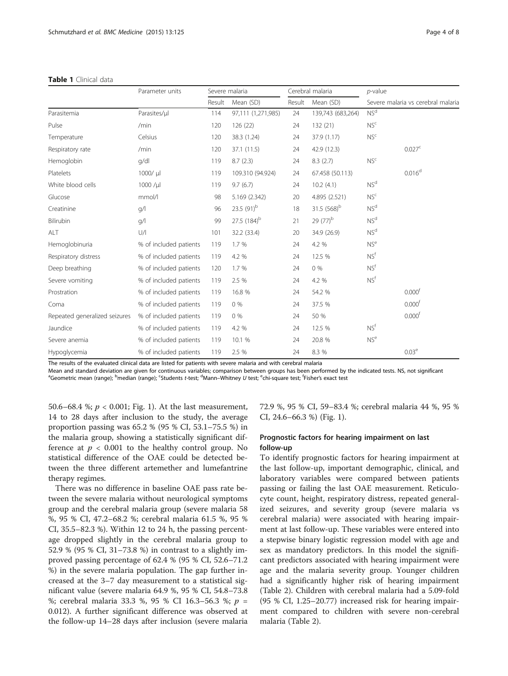<span id="page-3-0"></span>

|                               | Parameter units        | Severe malaria |                         | Cerebral malaria |                         | $p$ -value      |                                    |
|-------------------------------|------------------------|----------------|-------------------------|------------------|-------------------------|-----------------|------------------------------------|
|                               |                        | Result         | Mean (SD)               | Result           | Mean (SD)               |                 | Severe malaria vs cerebral malaria |
| Parasitemia                   | Parasites/µl           | 114            | 97,111 (1,271,985)      | 24               | 139,743 (683,264)       | NS <sup>d</sup> |                                    |
| Pulse                         | /min                   | 120            | 126 (22)                | 24               | 132 (21)                | NS <sup>c</sup> |                                    |
| Temperature                   | Celsius                | 120            | 38.3 (1.24)             | 24               | 37.9 (1.17)             | NS <sup>c</sup> |                                    |
| Respiratory rate              | /min                   | 120            | 37.1 (11.5)             | 24               | 42.9 (12.3)             |                 | 0.027 <sup>c</sup>                 |
| Hemoglobin                    | q/dl                   | 119            | 8.7(2.3)                | 24               | 8.3(2.7)                | NS <sup>c</sup> |                                    |
| Platelets                     | 1000/ µl               | 119            | 109.310 (94.924)        | 24               | 67.458 (50.113)         |                 | $0.016^{d}$                        |
| White blood cells             | $1000 / \mu$           | 119            | 9.7(6.7)                | 24               | 10.2(4.1)               | NS <sup>d</sup> |                                    |
| Glucose                       | mmol/l                 | 98             | 5.169 (2.342)           | 20               | 4.895 (2.521)           | NS <sup>c</sup> |                                    |
| Creatinine                    | g/                     | 96             | 23.5 (91) <sup>b</sup>  | 18               | 31.5 (568) <sup>b</sup> | NS <sup>d</sup> |                                    |
| Bilirubin                     | q/                     | 99             | 27.5 (184) <sup>b</sup> | 21               | 29 $(77)^{b}$           | NS <sup>d</sup> |                                    |
| ALT                           | U/                     | 101            | 32.2 (33.4)             | 20               | 34.9 (26.9)             | NS <sup>d</sup> |                                    |
| Hemoglobinuria                | % of included patients | 119            | 1.7 %                   | 24               | 4.2 %                   | NS <sup>e</sup> |                                    |
| Respiratory distress          | % of included patients | 119            | 4.2 %                   | 24               | 12.5 %                  | NS <sup>f</sup> |                                    |
| Deep breathing                | % of included patients | 120            | 1.7 %                   | 24               | $0\%$                   | NS <sup>f</sup> |                                    |
| Severe vomiting               | % of included patients | 119            | 2.5 %                   | 24               | 4.2 %                   | NS <sup>f</sup> |                                    |
| Prostration                   | % of included patients | 119            | 16.8 %                  | 24               | 54.2 %                  |                 | 0.000 <sup>f</sup>                 |
| Coma                          | % of included patients | 119            | 0%                      | 24               | 37.5 %                  |                 | 0.000 <sup>f</sup>                 |
| Repeated generalized seizures | % of included patients | 119            | 0%                      | 24               | 50 %                    |                 | 0.000 <sup>f</sup>                 |
| Jaundice                      | % of included patients | 119            | 4.2 %                   | 24               | 12.5 %                  | NS <sup>f</sup> |                                    |
| Severe anemia                 | % of included patients | 119            | 10.1 %                  | 24               | 20.8 %                  | NS <sup>e</sup> |                                    |
| Hypoglycemia                  | % of included patients | 119            | 2.5 %                   | 24               | 8.3 %                   |                 | 0.03 <sup>e</sup>                  |

The results of the evaluated clinical data are listed for patients with severe malaria and with cerebral malaria

Mean and standard deviation are given for continuous variables; comparison between groups has been performed by the indicated tests. NS, not significant <sup>a</sup> Geometric mean (range); <sup>b</sup>median (range); <sup>c</sup>Students *t-*test; <sup>d</sup>Mann–Whitney *U* test; <sup>e</sup>chi-square test; <sup>f</sup>Fisher's exact test

50.6–68.4 %;  $p < 0.001$ ; Fig. [1\)](#page-4-0). At the last measurement, 14 to 28 days after inclusion to the study, the average proportion passing was 65.2 % (95 % CI, 53.1–75.5 %) in the malaria group, showing a statistically significant difference at  $p < 0.001$  to the healthy control group. No statistical difference of the OAE could be detected between the three different artemether and lumefantrine therapy regimes.

There was no difference in baseline OAE pass rate between the severe malaria without neurological symptoms group and the cerebral malaria group (severe malaria 58 %, 95 % CI, 47.2–68.2 %; cerebral malaria 61.5 %, 95 % CI, 35.5–82.3 %). Within 12 to 24 h, the passing percentage dropped slightly in the cerebral malaria group to 52.9 % (95 % CI, 31–73.8 %) in contrast to a slightly improved passing percentage of 62.4 % (95 % CI, 52.6–71.2 %) in the severe malaria population. The gap further increased at the 3–7 day measurement to a statistical significant value (severe malaria 64.9 %, 95 % CI, 54.8–73.8 %; cerebral malaria 33.3 %, 95 % CI 16.3–56.3 %; p = 0.012). A further significant difference was observed at the follow-up 14–28 days after inclusion (severe malaria 72.9 %, 95 % CI, 59–83.4 %; cerebral malaria 44 %, 95 % CI, 24.6–66.3 %) (Fig. [1\)](#page-4-0).

# Prognostic factors for hearing impairment on last follow-up

To identify prognostic factors for hearing impairment at the last follow-up, important demographic, clinical, and laboratory variables were compared between patients passing or failing the last OAE measurement. Reticulocyte count, height, respiratory distress, repeated generalized seizures, and severity group (severe malaria vs cerebral malaria) were associated with hearing impairment at last follow-up. These variables were entered into a stepwise binary logistic regression model with age and sex as mandatory predictors. In this model the significant predictors associated with hearing impairment were age and the malaria severity group. Younger children had a significantly higher risk of hearing impairment (Table [2](#page-4-0)). Children with cerebral malaria had a 5.09-fold (95 % CI, 1.25–20.77) increased risk for hearing impairment compared to children with severe non-cerebral malaria (Table [2](#page-4-0)).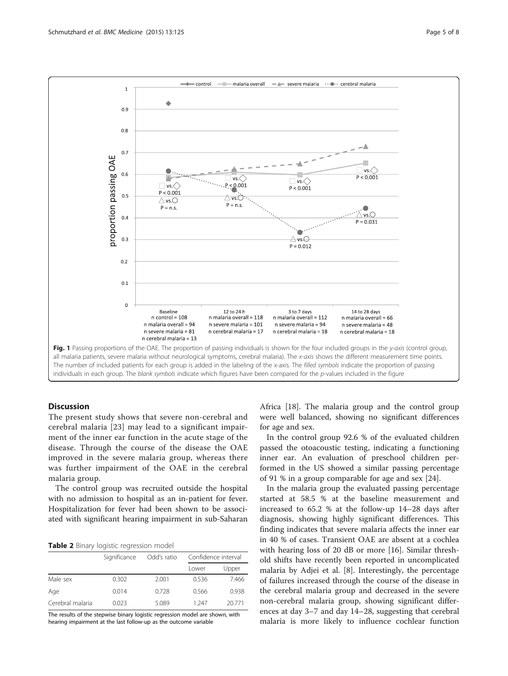<span id="page-4-0"></span>

# **Discussion**

The present study shows that severe non-cerebral and cerebral malaria [[23\]](#page-7-0) may lead to a significant impairment of the inner ear function in the acute stage of the disease. Through the course of the disease the OAE improved in the severe malaria group, whereas there was further impairment of the OAE in the cerebral malaria group.

The control group was recruited outside the hospital with no admission to hospital as an in-patient for fever. Hospitalization for fever had been shown to be associated with significant hearing impairment in sub-Saharan

|  |  |  | Table 2 Binary logistic regression model |  |
|--|--|--|------------------------------------------|--|
|--|--|--|------------------------------------------|--|

|                  | Significance | Odd's ratio | Confidence interval |       |
|------------------|--------------|-------------|---------------------|-------|
|                  |              |             | Lower               | Upper |
| Male sex         | 0.302        | 2.001       | 0.536               | 7.466 |
| Age              | 0.014        | 0.728       | 0.566               | 0.938 |
| Cerebral malaria | 0.023        | 5.089       | 1 247               | 20771 |

The results of the stepwise binary logistic regression model are shown, with hearing impairment at the last follow-up as the outcome variable

Africa [[18](#page-6-0)]. The malaria group and the control group were well balanced, showing no significant differences for age and sex.

In the control group 92.6 % of the evaluated children passed the otoacoustic testing, indicating a functioning inner ear. An evaluation of preschool children performed in the US showed a similar passing percentage of 91 % in a group comparable for age and sex [[24\]](#page-7-0).

In the malaria group the evaluated passing percentage started at 58.5 % at the baseline measurement and increased to 65.2 % at the follow-up 14–28 days after diagnosis, showing highly significant differences. This finding indicates that severe malaria affects the inner ear in 40 % of cases. Transient OAE are absent at a cochlea with hearing loss of 20 dB or more [\[16](#page-6-0)]. Similar threshold shifts have recently been reported in uncomplicated malaria by Adjei et al. [\[8\]](#page-6-0). Interestingly, the percentage of failures increased through the course of the disease in the cerebral malaria group and decreased in the severe non-cerebral malaria group, showing significant differences at day 3–7 and day 14–28, suggesting that cerebral malaria is more likely to influence cochlear function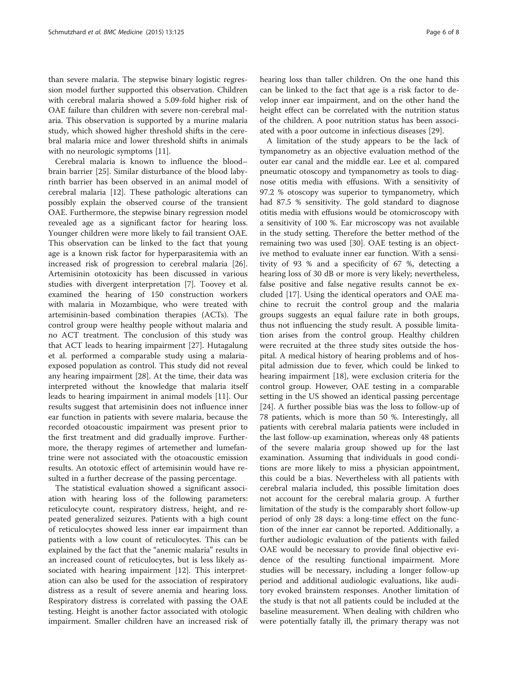than severe malaria. The stepwise binary logistic regression model further supported this observation. Children with cerebral malaria showed a 5.09-fold higher risk of OAE failure than children with severe non-cerebral malaria. This observation is supported by a murine malaria study, which showed higher threshold shifts in the cerebral malaria mice and lower threshold shifts in animals with no neurologic symptoms [\[11\]](#page-6-0).

Cerebral malaria is known to influence the blood– brain barrier [\[25\]](#page-7-0). Similar disturbance of the blood labyrinth barrier has been observed in an animal model of cerebral malaria [\[12](#page-6-0)]. These pathologic alterations can possibly explain the observed course of the transient OAE. Furthermore, the stepwise binary regression model revealed age as a significant factor for hearing loss. Younger children were more likely to fail transient OAE. This observation can be linked to the fact that young age is a known risk factor for hyperparasitemia with an increased risk of progression to cerebral malaria [\[26](#page-7-0)]. Artemisinin ototoxicity has been discussed in various studies with divergent interpretation [\[7](#page-6-0)]. Toovey et al. examined the hearing of 150 construction workers with malaria in Mozambique, who were treated with artemisinin-based combination therapies (ACTs). The control group were healthy people without malaria and no ACT treatment. The conclusion of this study was that ACT leads to hearing impairment [\[27](#page-7-0)]. Hutagalung et al. performed a comparable study using a malariaexposed population as control. This study did not reveal any hearing impairment [[28](#page-7-0)]. At the time, their data was interpreted without the knowledge that malaria itself leads to hearing impairment in animal models [\[11](#page-6-0)]. Our results suggest that artemisinin does not influence inner ear function in patients with severe malaria, because the recorded otoacoustic impairment was present prior to the first treatment and did gradually improve. Furthermore, the therapy regimes of artemether and lumefantrine were not associated with the otoacoustic emission results. An ototoxic effect of artemisinin would have resulted in a further decrease of the passing percentage.

The statistical evaluation showed a significant association with hearing loss of the following parameters: reticulocyte count, respiratory distress, height, and repeated generalized seizures. Patients with a high count of reticulocytes showed less inner ear impairment than patients with a low count of reticulocytes. This can be explained by the fact that the "anemic malaria" results in an increased count of reticulocytes, but is less likely associated with hearing impairment [[12](#page-6-0)]. This interpretation can also be used for the association of respiratory distress as a result of severe anemia and hearing loss. Respiratory distress is correlated with passing the OAE testing. Height is another factor associated with otologic impairment. Smaller children have an increased risk of hearing loss than taller children. On the one hand this can be linked to the fact that age is a risk factor to develop inner ear impairment, and on the other hand the height effect can be correlated with the nutrition status of the children. A poor nutrition status has been associated with a poor outcome in infectious diseases [[29\]](#page-7-0).

A limitation of the study appears to be the lack of tympanometry as an objective evaluation method of the outer ear canal and the middle ear. Lee et al. compared pneumatic otoscopy and tympanometry as tools to diagnose otitis media with effusions. With a sensitivity of 97.2 % otoscopy was superior to tympanometry, which had 87.5 % sensitivity. The gold standard to diagnose otitis media with effusions would be otomicroscopy with a sensitivity of 100 %. Ear microscopy was not available in the study setting. Therefore the better method of the remaining two was used [\[30\]](#page-7-0). OAE testing is an objective method to evaluate inner ear function. With a sensitivity of 93 % and a specificity of 67 %, detecting a hearing loss of 30 dB or more is very likely; nevertheless, false positive and false negative results cannot be excluded [\[17](#page-6-0)]. Using the identical operators and OAE machine to recruit the control group and the malaria groups suggests an equal failure rate in both groups, thus not influencing the study result. A possible limitation arises from the control group. Healthy children were recruited at the three study sites outside the hospital. A medical history of hearing problems and of hospital admission due to fever, which could be linked to hearing impairment [[18](#page-6-0)], were exclusion criteria for the control group. However, OAE testing in a comparable setting in the US showed an identical passing percentage [[24\]](#page-7-0). A further possible bias was the loss to follow-up of 78 patients, which is more than 50 %. Interestingly, all patients with cerebral malaria patients were included in the last follow-up examination, whereas only 48 patients of the severe malaria group showed up for the last examination. Assuming that individuals in good conditions are more likely to miss a physician appointment, this could be a bias. Nevertheless with all patients with cerebral malaria included, this possible limitation does not account for the cerebral malaria group. A further limitation of the study is the comparably short follow-up period of only 28 days: a long-time effect on the function of the inner ear cannot be reported. Additionally, a further audiologic evaluation of the patients with failed OAE would be necessary to provide final objective evidence of the resulting functional impairment. More studies will be necessary, including a longer follow-up period and additional audiologic evaluations, like auditory evoked brainstem responses. Another limitation of the study is that not all patients could be included at the baseline measurement. When dealing with children who were potentially fatally ill, the primary therapy was not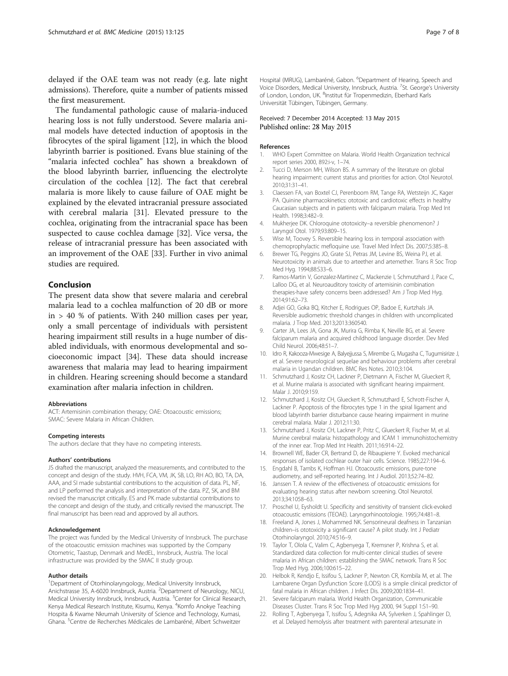<span id="page-6-0"></span>delayed if the OAE team was not ready (e.g. late night admissions). Therefore, quite a number of patients missed the first measurement.

The fundamental pathologic cause of malaria-induced hearing loss is not fully understood. Severe malaria animal models have detected induction of apoptosis in the fibrocytes of the spiral ligament [12], in which the blood labyrinth barrier is positioned. Evans blue staining of the "malaria infected cochlea" has shown a breakdown of the blood labyrinth barrier, influencing the electrolyte circulation of the cochlea [12]. The fact that cerebral malaria is more likely to cause failure of OAE might be explained by the elevated intracranial pressure associated with cerebral malaria [[31\]](#page-7-0). Elevated pressure to the cochlea, originating from the intracranial space has been suspected to cause cochlea damage [\[32](#page-7-0)]. Vice versa, the release of intracranial pressure has been associated with an improvement of the OAE [[33](#page-7-0)]. Further in vivo animal studies are required.

# Conclusion

The present data show that severe malaria and cerebral malaria lead to a cochlea malfunction of 20 dB or more in > 40 % of patients. With 240 million cases per year, only a small percentage of individuals with persistent hearing impairment still results in a huge number of disabled individuals, with enormous developmental and socioeconomic impact [[34\]](#page-7-0). These data should increase awareness that malaria may lead to hearing impairment in children. Hearing screening should become a standard examination after malaria infection in children.

#### Abbreviations

ACT: Artemisinin combination therapy; OAE: Otoacoustic emissions; SMAC: Severe Malaria in African Children.

#### Competing interests

The authors declare that they have no competing interests.

#### Authors' contributions

JS drafted the manuscript, analyzed the measurements, and contributed to the concept and design of the study. HVH, FCA, VM, JK, SB, LO, RH AO, BO, TA, DA, AAA, and SI made substantial contributions to the acquisition of data. PL, NF, and LP performed the analysis and interpretation of the data. PZ, SK, and BM revised the manuscript critically. ES and PK made substantial contributions to the concept and design of the study, and critically revised the manuscript. The final manuscript has been read and approved by all authors.

#### Acknowledgement

The project was funded by the Medical University of Innsbruck. The purchase of the otoacoustic emission machines was supported by the Company Otometric, Taastup, Denmark and MedEL, Innsbruck, Austria. The local infrastructure was provided by the SMAC II study group.

#### Author details

<sup>1</sup>Department of Otorhinolaryngology, Medical University Innsbruck, Anichstrasse 35, A-6020 Innsbruck, Austria. <sup>2</sup>Department of Neurology, NICU, Medical University Innsbruck, Innsbruck, Austria. <sup>3</sup>Center for Clinical Research, Kenya Medical Research Institute, Kisumu, Kenya. <sup>4</sup>Komfo Anokye Teaching Hospita & Kwame Nkrumah University of Science and Technology, Kumasi, Ghana. <sup>5</sup>Centre de Recherches Médicales de Lambaréné, Albert Schweitzer

# Received: 7 December 2014 Accepted: 13 May 2015 Published online: 28 May 2015

#### References

- 1. WHO Expert Committee on Malaria. World Health Organization technical report series 2000, 892:i-v, 1–74.
- 2. Tucci D, Merson MH, Wilson BS. A summary of the literature on global hearing impairment: current status and priorities for action. Otol Neurotol. 2010;31:31–41.
- 3. Claessen FA, van Boxtel CJ, Perenboom RM, Tange RA, Wetsteijn JC, Kager PA. Quinine pharmacokinetics: ototoxic and cardiotoxic effects in healthy Caucasian subjects and in patients with falciparum malaria. Trop Med Int Health. 1998;3:482–9.
- 4. Mukherjee DK. Chloroquine ototoxicity–a reversible phenomenon? J Laryngol Otol. 1979;93:809–15.
- 5. Wise M, Toovey S. Reversible hearing loss in temporal association with chemoprophylactic mefloquine use. Travel Med Infect Dis. 2007;5:385–8.
- 6. Brewer TG, Peggins JO, Grate SJ, Petras JM, Levine BS, Weina PJ, et al. Neurotoxicity in animals due to arteether and artemether. Trans R Soc Trop Med Hyg. 1994;88:S33–6.
- 7. Ramos-Martin V, Gonzalez-Martinez C, Mackenzie I, Schmutzhard J, Pace C, Lalloo DG, et al. Neuroauditory toxicity of artemisinin combination therapies-have safety concerns been addressed? Am J Trop Med Hyg. 2014;91:62–73.
- 8. Adjei GO, Goka BQ, Kitcher E, Rodrigues OP, Badoe E, Kurtzhals JA. Reversible audiometric threshold changes in children with uncomplicated malaria. J Trop Med. 2013;2013:360540.
- 9. Carter JA, Lees JA, Gona JK, Murira G, Rimba K, Neville BG, et al. Severe falciparum malaria and acquired childhood language disorder. Dev Med Child Neurol. 2006;48:51–7.
- 10. Idro R, Kakooza-Mwesige A, Balyejjussa S, Mirembe G, Mugasha C, Tugumisirize J, et al. Severe neurological sequelae and behaviour problems after cerebral malaria in Ugandan children. BMC Res Notes. 2010;3:104.
- 11. Schmutzhard J, Kositz CH, Lackner P, Dietmann A, Fischer M, Glueckert R, et al. Murine malaria is associated with significant hearing impairment. Malar J. 2010;9:159.
- 12. Schmutzhard J, Kositz CH, Glueckert R, Schmutzhard E, Schrott-Fischer A, Lackner P. Apoptosis of the fibrocytes type 1 in the spiral ligament and blood labyrinth barrier disturbance cause hearing impairment in murine cerebral malaria. Malar J. 2012;11:30.
- 13. Schmutzhard J, Kositz CH, Lackner P, Pritz C, Glueckert R, Fischer M, et al. Murine cerebral malaria: histopathology and ICAM 1 immunohistochemistry of the inner ear. Trop Med Int Health. 2011;16:914–22.
- 14. Brownell WE, Bader CR, Bertrand D, de Ribaupierre Y. Evoked mechanical responses of isolated cochlear outer hair cells. Science. 1985;227:194–6.
- 15. Engdahl B, Tambs K, Hoffman HJ. Otoacoustic emissions, pure-tone audiometry, and self-reported hearing. Int J Audiol. 2013;52:74–82.
- 16. Janssen T. A review of the effectiveness of otoacoustic emissions for evaluating hearing status after newborn screening. Otol Neurotol. 2013;34:1058–63.
- 17. Proschel U, Eysholdt U. Specificity and sensitivity of transient click-evoked otoacoustic emissions (TEOAE). Laryngorhinootologie. 1995;74:481–8.
- 18. Freeland A, Jones J, Mohammed NK. Sensorineural deafness in Tanzanian children–is ototoxicity a significant cause? A pilot study. Int J Pediatr Otorhinolaryngol. 2010;74:516–9.
- 19. Taylor T, Olola C, Valim C, Agbenyega T, Kremsner P, Krishna S, et al. Standardized data collection for multi-center clinical studies of severe malaria in African children: establishing the SMAC network. Trans R Soc Trop Med Hyg. 2006;100:615–22.
- 20. Helbok R, Kendjo E, Issifou S, Lackner P, Newton CR, Kombila M, et al. The Lambarene Organ Dysfunction Score (LODS) is a simple clinical predictor of fatal malaria in African children. J Infect Dis. 2009;200:1834–41.
- 21. Severe falciparum malaria. World Health Organization, Communicable Diseases Cluster. Trans R Soc Trop Med Hyg 2000, 94 Suppl 1:S1–90.
- 22. Rolling T, Agbenyega T, Issifou S, Adegnika AA, Sylverken J, Spahlinger D, et al. Delayed hemolysis after treatment with parenteral artesunate in